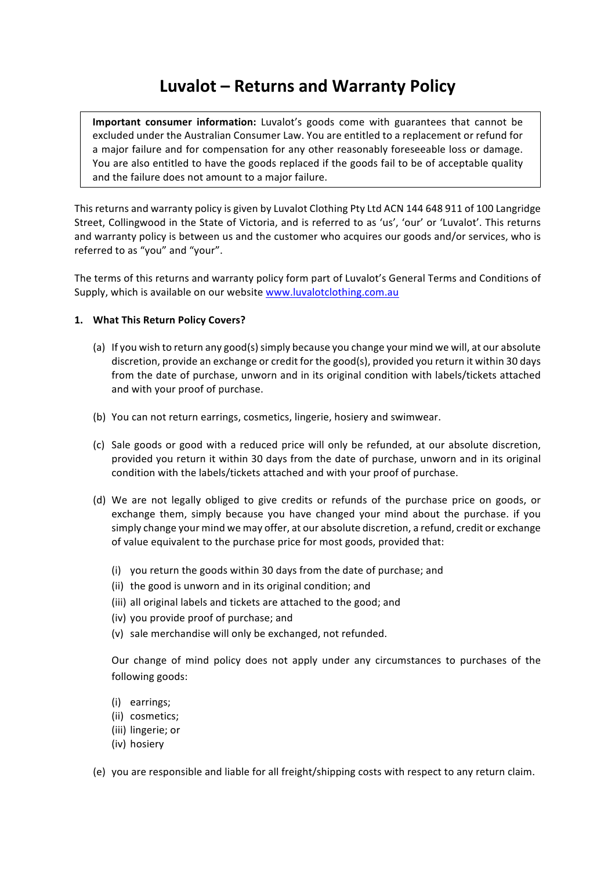# **Luvalot – Returns and Warranty Policy**

**Important consumer information:** Luvalot's goods come with guarantees that cannot be excluded under the Australian Consumer Law. You are entitled to a replacement or refund for a major failure and for compensation for any other reasonably foreseeable loss or damage. You are also entitled to have the goods replaced if the goods fail to be of acceptable quality and the failure does not amount to a major failure.

This returns and warranty policy is given by Luvalot Clothing Pty Ltd ACN 144 648 911 of 100 Langridge Street, Collingwood in the State of Victoria, and is referred to as 'us', 'our' or 'Luvalot'. This returns and warranty policy is between us and the customer who acquires our goods and/or services, who is referred to as "you" and "your".

The terms of this returns and warranty policy form part of Luvalot's General Terms and Conditions of Supply, which is available on our website www.luvalotclothing.com.au

## 1. What This Return Policy Covers?

- (a) If you wish to return any good(s) simply because you change your mind we will, at our absolute discretion, provide an exchange or credit for the good(s), provided you return it within 30 days from the date of purchase, unworn and in its original condition with labels/tickets attached and with your proof of purchase.
- (b) You can not return earrings, cosmetics, lingerie, hosiery and swimwear.
- (c) Sale goods or good with a reduced price will only be refunded, at our absolute discretion, provided you return it within 30 days from the date of purchase, unworn and in its original condition with the labels/tickets attached and with your proof of purchase.
- (d) We are not legally obliged to give credits or refunds of the purchase price on goods, or exchange them, simply because you have changed your mind about the purchase. if you simply change your mind we may offer, at our absolute discretion, a refund, credit or exchange of value equivalent to the purchase price for most goods, provided that:
	- (i) you return the goods within 30 days from the date of purchase; and
	- (ii) the good is unworn and in its original condition; and
	- (iii) all original labels and tickets are attached to the good; and
	- (iv) you provide proof of purchase; and
	- (v) sale merchandise will only be exchanged, not refunded.

Our change of mind policy does not apply under any circumstances to purchases of the following goods:

- (i) earrings;
- (ii) cosmetics;
- (iii) lingerie; or
- (iv) hosiery
- (e) you are responsible and liable for all freight/shipping costs with respect to any return claim.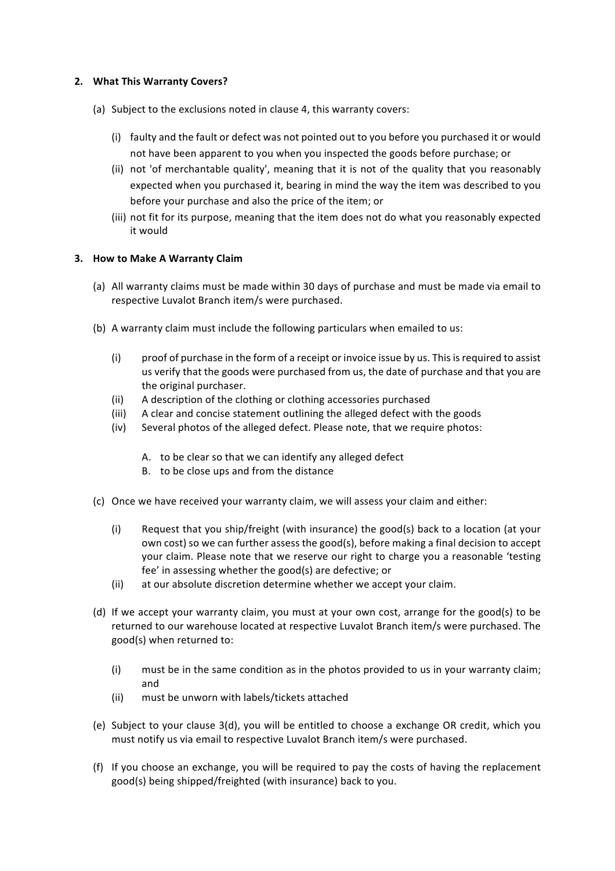#### **2.** What This Warranty Covers?

- (a) Subject to the exclusions noted in clause 4, this warranty covers:
	- (i) faulty and the fault or defect was not pointed out to you before you purchased it or would not have been apparent to you when you inspected the goods before purchase; or
	- (ii) not 'of merchantable quality', meaning that it is not of the quality that you reasonably expected when you purchased it, bearing in mind the way the item was described to you before your purchase and also the price of the item; or
	- (iii) not fit for its purpose, meaning that the item does not do what you reasonably expected it would

## **3. How to Make A Warranty Claim**

- (a) All warranty claims must be made within 30 days of purchase and must be made via email to respective Luvalot Branch item/s were purchased.
- (b) A warranty claim must include the following particulars when emailed to us:
	- (i) proof of purchase in the form of a receipt or invoice issue by us. This is required to assist us verify that the goods were purchased from us, the date of purchase and that you are the original purchaser.
	- (ii) A description of the clothing or clothing accessories purchased
	- (iii) A clear and concise statement outlining the alleged defect with the goods
	- (iv) Several photos of the alleged defect. Please note, that we require photos:
		- A. to be clear so that we can identify any alleged defect
		- B. to be close ups and from the distance
- (c) Once we have received your warranty claim, we will assess your claim and either:
	- (i) Request that you ship/freight (with insurance) the good(s) back to a location (at your own cost) so we can further assess the good(s), before making a final decision to accept your claim. Please note that we reserve our right to charge you a reasonable 'testing fee' in assessing whether the good(s) are defective; or
	- (ii) at our absolute discretion determine whether we accept your claim.
- (d) If we accept your warranty claim, you must at your own cost, arrange for the good(s) to be returned to our warehouse located at respective Luvalot Branch item/s were purchased. The good(s) when returned to:
	- (i) must be in the same condition as in the photos provided to us in your warranty claim; and
	- (ii) must be unworn with labels/tickets attached
- (e) Subject to your clause  $3(d)$ , you will be entitled to choose a exchange OR credit, which you must notify us via email to respective Luvalot Branch item/s were purchased.
- (f) If you choose an exchange, you will be required to pay the costs of having the replacement good(s) being shipped/freighted (with insurance) back to you.